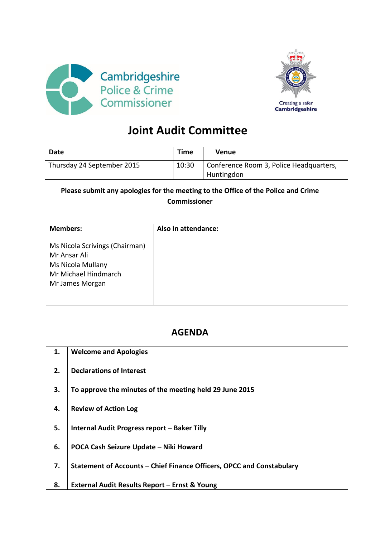



## **Joint Audit Committee**

| Date                       | Time  | Venue                                                 |
|----------------------------|-------|-------------------------------------------------------|
| Thursday 24 September 2015 | 10:30 | Conference Room 3, Police Headquarters,<br>Huntingdon |

## **Please submit any apologies for the meeting to the Office of the Police and Crime Commissioner**

| <b>Members:</b>                                                                                                | Also in attendance: |
|----------------------------------------------------------------------------------------------------------------|---------------------|
| Ms Nicola Scrivings (Chairman)<br>Mr Ansar Ali<br>Ms Nicola Mullany<br>Mr Michael Hindmarch<br>Mr James Morgan |                     |

## **AGENDA**

| 1. | <b>Welcome and Apologies</b>                                          |
|----|-----------------------------------------------------------------------|
| 2. | <b>Declarations of Interest</b>                                       |
| 3. | To approve the minutes of the meeting held 29 June 2015               |
| 4. | <b>Review of Action Log</b>                                           |
| 5. | Internal Audit Progress report - Baker Tilly                          |
| 6. | POCA Cash Seizure Update - Niki Howard                                |
| 7. | Statement of Accounts - Chief Finance Officers, OPCC and Constabulary |
| 8. | External Audit Results Report - Ernst & Young                         |